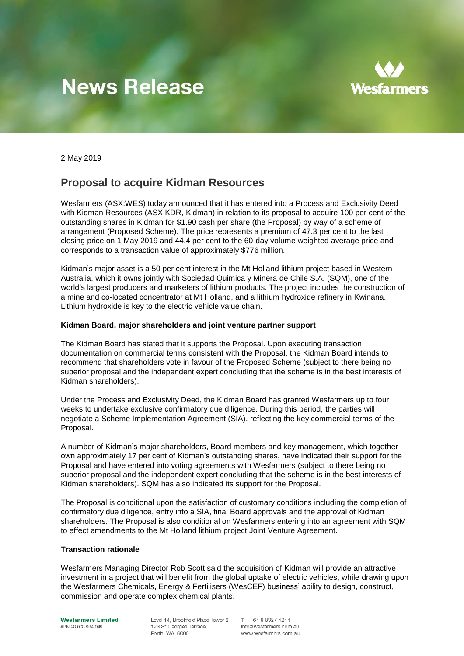# **News Release**



2 May 2019

## **Proposal to acquire Kidman Resources**

Wesfarmers (ASX:WES) today announced that it has entered into a Process and Exclusivity Deed with Kidman Resources (ASX:KDR, Kidman) in relation to its proposal to acquire 100 per cent of the outstanding shares in Kidman for \$1.90 cash per share (the Proposal) by way of a scheme of arrangement (Proposed Scheme). The price represents a premium of 47.3 per cent to the last closing price on 1 May 2019 and 44.4 per cent to the 60-day volume weighted average price and corresponds to a transaction value of approximately \$776 million.

Kidman's major asset is a 50 per cent interest in the Mt Holland lithium project based in Western Australia, which it owns jointly with Sociedad Quimica y Minera de Chile S.A. (SQM), one of the world's largest producers and marketers of lithium products. The project includes the construction of a mine and co-located concentrator at Mt Holland, and a lithium hydroxide refinery in Kwinana. Lithium hydroxide is key to the electric vehicle value chain.

## **Kidman Board, major shareholders and joint venture partner support**

The Kidman Board has stated that it supports the Proposal. Upon executing transaction documentation on commercial terms consistent with the Proposal, the Kidman Board intends to recommend that shareholders vote in favour of the Proposed Scheme (subject to there being no superior proposal and the independent expert concluding that the scheme is in the best interests of Kidman shareholders).

Under the Process and Exclusivity Deed, the Kidman Board has granted Wesfarmers up to four weeks to undertake exclusive confirmatory due diligence. During this period, the parties will negotiate a Scheme Implementation Agreement (SIA), reflecting the key commercial terms of the Proposal.

A number of Kidman's major shareholders, Board members and key management, which together own approximately 17 per cent of Kidman's outstanding shares, have indicated their support for the Proposal and have entered into voting agreements with Wesfarmers (subject to there being no superior proposal and the independent expert concluding that the scheme is in the best interests of Kidman shareholders). SQM has also indicated its support for the Proposal.

The Proposal is conditional upon the satisfaction of customary conditions including the completion of confirmatory due diligence, entry into a SIA, final Board approvals and the approval of Kidman shareholders. The Proposal is also conditional on Wesfarmers entering into an agreement with SQM to effect amendments to the Mt Holland lithium project Joint Venture Agreement.

## **Transaction rationale**

Wesfarmers Managing Director Rob Scott said the acquisition of Kidman will provide an attractive investment in a project that will benefit from the global uptake of electric vehicles, while drawing upon the Wesfarmers Chemicals, Energy & Fertilisers (WesCEF) business' ability to design, construct, commission and operate complex chemical plants.

**Wesfarmers Limited** ABN 28 008 984 049

Level 14, Brookfield Place Tower 2 123 St Georges Terrace Perth WA 6000

 $T + 61893274211$ info@wesfarmers.com.au www.wesfarmers.com.au